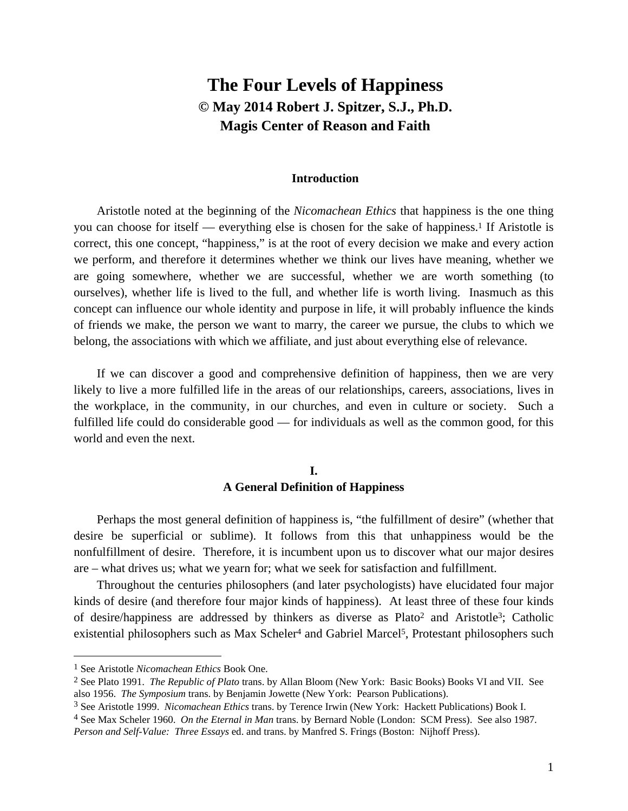# **The Four Levels of Happiness © May 2014 Robert J. Spitzer, S.J., Ph.D. Magis Center of Reason and Faith**

#### **Introduction**

Aristotle noted at the beginning of the *Nicomachean Ethics* that happiness is the one thing you can choose for itself — everything else is chosen for the sake of happiness.1 If Aristotle is correct, this one concept, "happiness," is at the root of every decision we make and every action we perform, and therefore it determines whether we think our lives have meaning, whether we are going somewhere, whether we are successful, whether we are worth something (to ourselves), whether life is lived to the full, and whether life is worth living. Inasmuch as this concept can influence our whole identity and purpose in life, it will probably influence the kinds of friends we make, the person we want to marry, the career we pursue, the clubs to which we belong, the associations with which we affiliate, and just about everything else of relevance.

If we can discover a good and comprehensive definition of happiness, then we are very likely to live a more fulfilled life in the areas of our relationships, careers, associations, lives in the workplace, in the community, in our churches, and even in culture or society. Such a fulfilled life could do considerable good — for individuals as well as the common good, for this world and even the next.

### **I. A General Definition of Happiness**

Perhaps the most general definition of happiness is, "the fulfillment of desire" (whether that desire be superficial or sublime). It follows from this that unhappiness would be the nonfulfillment of desire. Therefore, it is incumbent upon us to discover what our major desires are – what drives us; what we yearn for; what we seek for satisfaction and fulfillment.

Throughout the centuries philosophers (and later psychologists) have elucidated four major kinds of desire (and therefore four major kinds of happiness). At least three of these four kinds of desire/happiness are addressed by thinkers as diverse as Plato2 and Aristotle3; Catholic existential philosophers such as Max Scheler<sup>4</sup> and Gabriel Marcel<sup>5</sup>, Protestant philosophers such

<sup>1</sup> See Aristotle *Nicomachean Ethics* Book One.

<sup>2</sup> See Plato 1991. *The Republic of Plato* trans. by Allan Bloom (New York: Basic Books) Books VI and VII. See also 1956. *The Symposium* trans. by Benjamin Jowette (New York: Pearson Publications).

<sup>3</sup> See Aristotle 1999. *Nicomachean Ethics* trans. by Terence Irwin (New York: Hackett Publications) Book I.

<sup>4</sup> See Max Scheler 1960. *On the Eternal in Man* trans. by Bernard Noble (London: SCM Press). See also 1987.

*Person and Self-Value: Three Essays* ed. and trans. by Manfred S. Frings (Boston: Nijhoff Press).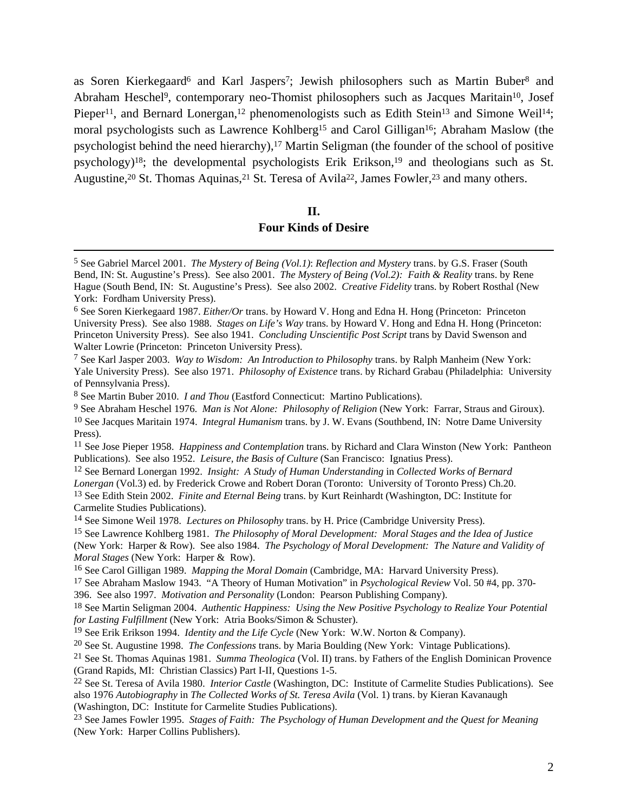as Soren Kierkegaard<sup>6</sup> and Karl Jaspers<sup>7</sup>; Jewish philosophers such as Martin Buber<sup>8</sup> and Abraham Heschel9, contemporary neo-Thomist philosophers such as Jacques Maritain10, Josef Pieper<sup>11</sup>, and Bernard Lonergan,<sup>12</sup> phenomenologists such as Edith Stein<sup>13</sup> and Simone Weil<sup>14</sup>; moral psychologists such as Lawrence Kohlberg15 and Carol Gilligan16; Abraham Maslow (the psychologist behind the need hierarchy),<sup>17</sup> Martin Seligman (the founder of the school of positive psychology)<sup>18</sup>; the developmental psychologists Erik Erikson,<sup>19</sup> and theologians such as St. Augustine,<sup>20</sup> St. Thomas Aquinas,<sup>21</sup> St. Teresa of Avila<sup>22</sup>, James Fowler,<sup>23</sup> and many others.

#### **II.**

#### **Four Kinds of Desire**

11 See Jose Pieper 1958. *Happiness and Contemplation* trans. by Richard and Clara Winston (New York: Pantheon Publications). See also 1952. *Leisure, the Basis of Culture* (San Francisco: Ignatius Press).

12 See Bernard Lonergan 1992. *Insight: A Study of Human Understanding* in *Collected Works of Bernard Lonergan* (Vol.3) ed. by Frederick Crowe and Robert Doran (Toronto: University of Toronto Press) Ch.20. 13 See Edith Stein 2002. *Finite and Eternal Being* trans. by Kurt Reinhardt (Washington, DC: Institute for Carmelite Studies Publications).

14 See Simone Weil 1978. *Lectures on Philosophy* trans. by H. Price (Cambridge University Press).

15 See Lawrence Kohlberg 1981. *The Philosophy of Moral Development: Moral Stages and the Idea of Justice*  (New York: Harper & Row). See also 1984. *The Psychology of Moral Development: The Nature and Validity of Moral Stages* (New York: Harper & Row).

16 See Carol Gilligan 1989. *Mapping the Moral Domain* (Cambridge, MA: Harvard University Press).

18 See Martin Seligman 2004. *Authentic Happiness: Using the New Positive Psychology to Realize Your Potential for Lasting Fulfillment* (New York: Atria Books/Simon & Schuster).

19 See Erik Erikson 1994. *Identity and the Life Cycle* (New York: W.W. Norton & Company).

20 See St. Augustine 1998. *The Confessions* trans. by Maria Boulding (New York: Vintage Publications).

21 See St. Thomas Aquinas 1981. *Summa Theologica* (Vol. II) trans. by Fathers of the English Dominican Provence (Grand Rapids, MI: Christian Classics) Part I-II, Questions 1-5.

22 See St. Teresa of Avila 1980. *Interior Castle* (Washington, DC: Institute of Carmelite Studies Publications). See also 1976 *Autobiography* in *The Collected Works of St. Teresa Avila* (Vol. 1) trans. by Kieran Kavanaugh (Washington, DC: Institute for Carmelite Studies Publications).

23 See James Fowler 1995. *Stages of Faith: The Psychology of Human Development and the Quest for Meaning*  (New York: Harper Collins Publishers).

 <sup>5</sup> See Gabriel Marcel 2001. *The Mystery of Being (Vol.1)*: *Reflection and Mystery* trans. by G.S. Fraser (South Bend, IN: St. Augustine's Press). See also 2001. *The Mystery of Being (Vol.2): Faith & Reality* trans. by Rene Hague (South Bend, IN: St. Augustine's Press). See also 2002. *Creative Fidelity* trans. by Robert Rosthal (New York: Fordham University Press).

<sup>6</sup> See Soren Kierkegaard 1987. *Either/Or* trans. by Howard V. Hong and Edna H. Hong (Princeton: Princeton University Press). See also 1988. *Stages on Life's Way* trans. by Howard V. Hong and Edna H. Hong (Princeton: Princeton University Press). See also 1941. *Concluding Unscientific Post Script* trans by David Swenson and Walter Lowrie (Princeton: Princeton University Press).

<sup>7</sup> See Karl Jasper 2003. *Way to Wisdom: An Introduction to Philosophy* trans. by Ralph Manheim (New York: Yale University Press). See also 1971. *Philosophy of Existence* trans. by Richard Grabau (Philadelphia: University of Pennsylvania Press).

<sup>8</sup> See Martin Buber 2010. *I and Thou* (Eastford Connecticut: Martino Publications).

<sup>9</sup> See Abraham Heschel 1976. *Man is Not Alone: Philosophy of Religion* (New York: Farrar, Straus and Giroux). 10 See Jacques Maritain 1974. *Integral Humanism* trans. by J. W. Evans (Southbend, IN: Notre Dame University Press).

<sup>17</sup> See Abraham Maslow 1943. "A Theory of Human Motivation" in *Psychological Review* Vol. 50 #4, pp. 370- 396. See also 1997. *Motivation and Personality* (London: Pearson Publishing Company).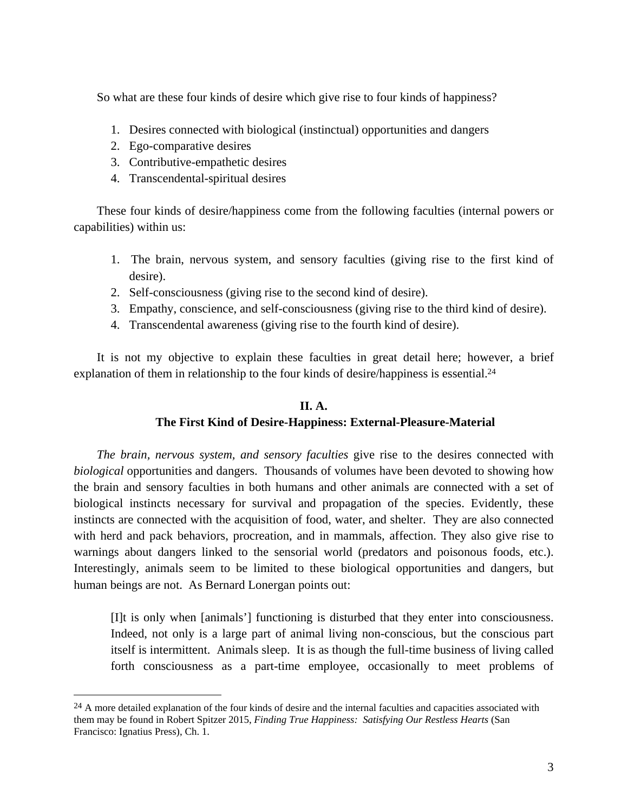So what are these four kinds of desire which give rise to four kinds of happiness?

- 1. Desires connected with biological (instinctual) opportunities and dangers
- 2. Ego-comparative desires

1

- 3. Contributive-empathetic desires
- 4. Transcendental-spiritual desires

These four kinds of desire/happiness come from the following faculties (internal powers or capabilities) within us:

- 1. The brain, nervous system, and sensory faculties (giving rise to the first kind of desire).
- 2. Self-consciousness (giving rise to the second kind of desire).
- 3. Empathy, conscience, and self-consciousness (giving rise to the third kind of desire).
- 4. Transcendental awareness (giving rise to the fourth kind of desire).

It is not my objective to explain these faculties in great detail here; however, a brief explanation of them in relationship to the four kinds of desire/happiness is essential.<sup>24</sup>

### **II. A.**

# **The First Kind of Desire-Happiness: External-Pleasure-Material**

*The brain, nervous system, and sensory faculties* give rise to the desires connected with *biological* opportunities and dangers. Thousands of volumes have been devoted to showing how the brain and sensory faculties in both humans and other animals are connected with a set of biological instincts necessary for survival and propagation of the species. Evidently, these instincts are connected with the acquisition of food, water, and shelter. They are also connected with herd and pack behaviors, procreation, and in mammals, affection. They also give rise to warnings about dangers linked to the sensorial world (predators and poisonous foods, etc.). Interestingly, animals seem to be limited to these biological opportunities and dangers, but human beings are not. As Bernard Lonergan points out:

[I]t is only when [animals'] functioning is disturbed that they enter into consciousness. Indeed, not only is a large part of animal living non-conscious, but the conscious part itself is intermittent. Animals sleep. It is as though the full-time business of living called forth consciousness as a part-time employee, occasionally to meet problems of

<sup>&</sup>lt;sup>24</sup> A more detailed explanation of the four kinds of desire and the internal faculties and capacities associated with them may be found in Robert Spitzer 2015, *Finding True Happiness: Satisfying Our Restless Hearts* (San Francisco: Ignatius Press), Ch. 1.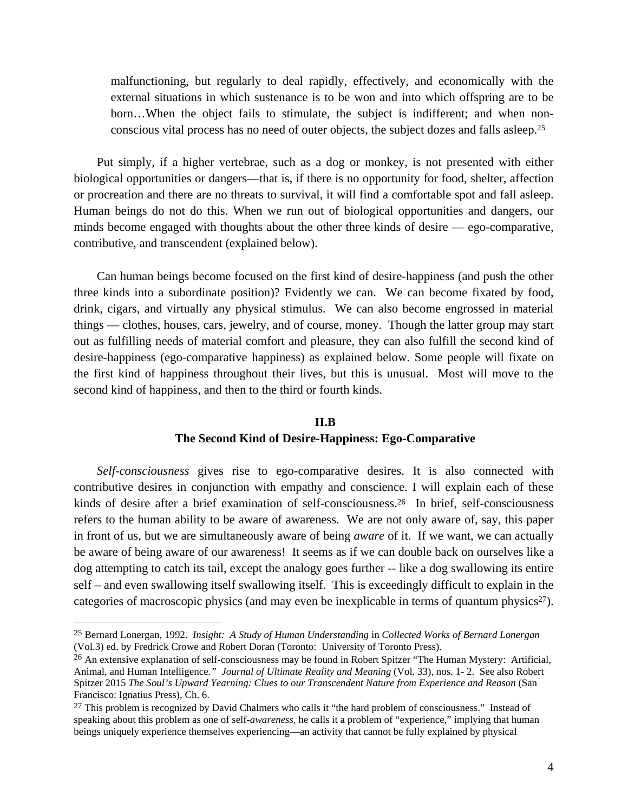malfunctioning, but regularly to deal rapidly, effectively, and economically with the external situations in which sustenance is to be won and into which offspring are to be born…When the object fails to stimulate, the subject is indifferent; and when nonconscious vital process has no need of outer objects, the subject dozes and falls asleep.25

Put simply, if a higher vertebrae, such as a dog or monkey, is not presented with either biological opportunities or dangers—that is, if there is no opportunity for food, shelter, affection or procreation and there are no threats to survival, it will find a comfortable spot and fall asleep. Human beings do not do this. When we run out of biological opportunities and dangers, our minds become engaged with thoughts about the other three kinds of desire — ego-comparative, contributive, and transcendent (explained below).

Can human beings become focused on the first kind of desire-happiness (and push the other three kinds into a subordinate position)? Evidently we can. We can become fixated by food, drink, cigars, and virtually any physical stimulus. We can also become engrossed in material things — clothes, houses, cars, jewelry, and of course, money. Though the latter group may start out as fulfilling needs of material comfort and pleasure, they can also fulfill the second kind of desire-happiness (ego-comparative happiness) as explained below. Some people will fixate on the first kind of happiness throughout their lives, but this is unusual. Most will move to the second kind of happiness, and then to the third or fourth kinds.

## **II.B The Second Kind of Desire-Happiness: Ego-Comparative**

*Self-consciousness* gives rise to ego-comparative desires. It is also connected with contributive desires in conjunction with empathy and conscience. I will explain each of these kinds of desire after a brief examination of self-consciousness.<sup>26</sup> In brief, self-consciousness refers to the human ability to be aware of awareness. We are not only aware of, say, this paper in front of us, but we are simultaneously aware of being *aware* of it. If we want, we can actually be aware of being aware of our awareness! It seems as if we can double back on ourselves like a dog attempting to catch its tail, except the analogy goes further -- like a dog swallowing its entire self – and even swallowing itself swallowing itself. This is exceedingly difficult to explain in the categories of macroscopic physics (and may even be inexplicable in terms of quantum physics<sup>27</sup>).

1

<sup>25</sup> Bernard Lonergan, 1992. *Insight: A Study of Human Understanding* in *Collected Works of Bernard Lonergan*  (Vol.3) ed. by Fredrick Crowe and Robert Doran (Toronto: University of Toronto Press).

<sup>&</sup>lt;sup>26</sup> An extensive explanation of self-consciousness may be found in Robert Spitzer "The Human Mystery: Artificial, Animal, and Human Intelligence*." Journal of Ultimate Reality and Meaning* (Vol. 33), nos. 1- 2. See also Robert Spitzer 2015 *The Soul's Upward Yearning: Clues to our Transcendent Nature from Experience and Reason* (San Francisco: Ignatius Press), Ch. 6.

<sup>&</sup>lt;sup>27</sup> This problem is recognized by David Chalmers who calls it "the hard problem of consciousness." Instead of speaking about this problem as one of self-*awareness*, he calls it a problem of "experience," implying that human beings uniquely experience themselves experiencing—an activity that cannot be fully explained by physical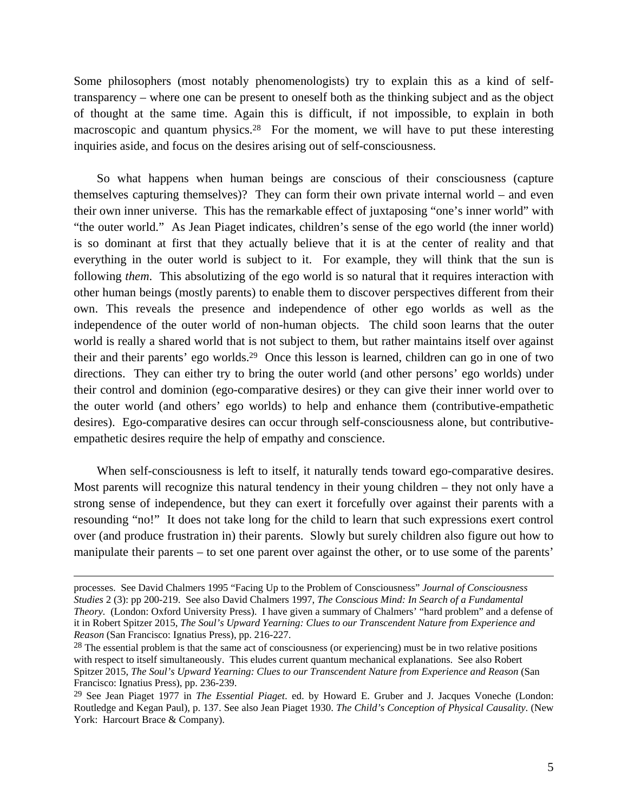Some philosophers (most notably phenomenologists) try to explain this as a kind of selftransparency – where one can be present to oneself both as the thinking subject and as the object of thought at the same time. Again this is difficult, if not impossible, to explain in both macroscopic and quantum physics.<sup>28</sup> For the moment, we will have to put these interesting inquiries aside, and focus on the desires arising out of self-consciousness.

So what happens when human beings are conscious of their consciousness (capture themselves capturing themselves)? They can form their own private internal world – and even their own inner universe. This has the remarkable effect of juxtaposing "one's inner world" with "the outer world." As Jean Piaget indicates, children's sense of the ego world (the inner world) is so dominant at first that they actually believe that it is at the center of reality and that everything in the outer world is subject to it. For example, they will think that the sun is following *them*. This absolutizing of the ego world is so natural that it requires interaction with other human beings (mostly parents) to enable them to discover perspectives different from their own. This reveals the presence and independence of other ego worlds as well as the independence of the outer world of non-human objects. The child soon learns that the outer world is really a shared world that is not subject to them, but rather maintains itself over against their and their parents' ego worlds.29 Once this lesson is learned, children can go in one of two directions. They can either try to bring the outer world (and other persons' ego worlds) under their control and dominion (ego-comparative desires) or they can give their inner world over to the outer world (and others' ego worlds) to help and enhance them (contributive-empathetic desires). Ego-comparative desires can occur through self-consciousness alone, but contributiveempathetic desires require the help of empathy and conscience.

When self-consciousness is left to itself, it naturally tends toward ego-comparative desires. Most parents will recognize this natural tendency in their young children – they not only have a strong sense of independence, but they can exert it forcefully over against their parents with a resounding "no!" It does not take long for the child to learn that such expressions exert control over (and produce frustration in) their parents. Slowly but surely children also figure out how to manipulate their parents – to set one parent over against the other, or to use some of the parents'

processes. See David Chalmers 1995 "Facing Up to the Problem of Consciousness" *Journal of Consciousness Studies* 2 (3): pp 200-219. See also David Chalmers 1997, *The Conscious Mind: In Search of a Fundamental Theory.* (London: Oxford University Press). I have given a summary of Chalmers' "hard problem" and a defense of it in Robert Spitzer 2015, *The Soul's Upward Yearning: Clues to our Transcendent Nature from Experience and Reason* (San Francisco: Ignatius Press), pp. 216-227.

 $28$  The essential problem is that the same act of consciousness (or experiencing) must be in two relative positions with respect to itself simultaneously. This eludes current quantum mechanical explanations. See also Robert Spitzer 2015, *The Soul's Upward Yearning: Clues to our Transcendent Nature from Experience and Reason* (San Francisco: Ignatius Press), pp. 236-239.

<sup>29</sup> See Jean Piaget 1977 in *The Essential Piaget*. ed. by Howard E. Gruber and J. Jacques Voneche (London: Routledge and Kegan Paul), p. 137. See also Jean Piaget 1930. *The Child's Conception of Physical Causality*. (New York: Harcourt Brace & Company).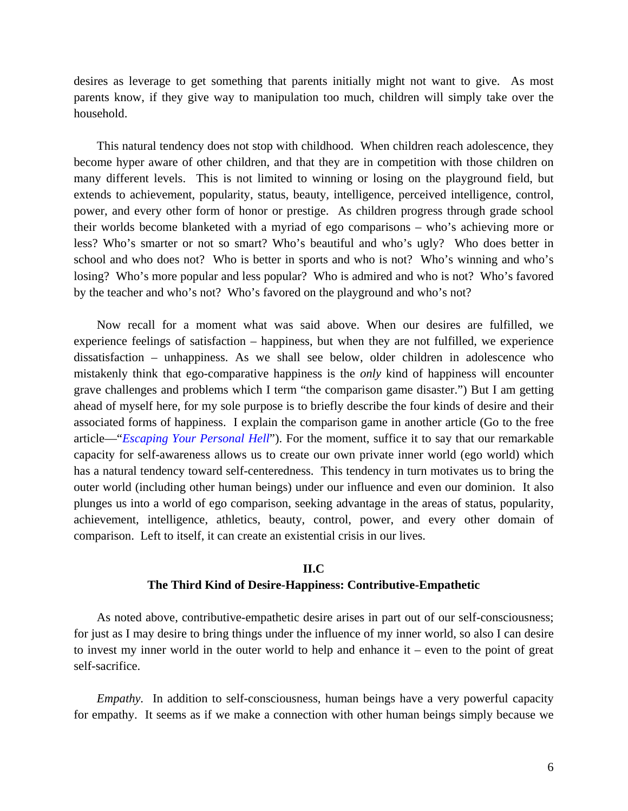desires as leverage to get something that parents initially might not want to give. As most parents know, if they give way to manipulation too much, children will simply take over the household.

This natural tendency does not stop with childhood. When children reach adolescence, they become hyper aware of other children, and that they are in competition with those children on many different levels. This is not limited to winning or losing on the playground field, but extends to achievement, popularity, status, beauty, intelligence, perceived intelligence, control, power, and every other form of honor or prestige. As children progress through grade school their worlds become blanketed with a myriad of ego comparisons – who's achieving more or less? Who's smarter or not so smart? Who's beautiful and who's ugly? Who does better in school and who does not? Who is better in sports and who is not? Who's winning and who's losing? Who's more popular and less popular? Who is admired and who is not? Who's favored by the teacher and who's not? Who's favored on the playground and who's not?

Now recall for a moment what was said above. When our desires are fulfilled, we experience feelings of satisfaction – happiness, but when they are not fulfilled, we experience dissatisfaction – unhappiness. As we shall see below, older children in adolescence who mistakenly think that ego-comparative happiness is the *only* kind of happiness will encounter grave challenges and problems which I term "the comparison game disaster.") But I am getting ahead of myself here, for my sole purpose is to briefly describe the four kinds of desire and their associated forms of happiness. I explain the comparison game in another article (Go to the free article—"*Escaping Your Personal Hell*"). For the moment, suffice it to say that our remarkable capacity for self-awareness allows us to create our own private inner world (ego world) which has a natural tendency toward self-centeredness. This tendency in turn motivates us to bring the outer world (including other human beings) under our influence and even our dominion. It also plunges us into a world of ego comparison, seeking advantage in the areas of status, popularity, achievement, intelligence, athletics, beauty, control, power, and every other domain of comparison. Left to itself, it can create an existential crisis in our lives.

#### **II.C**

#### **The Third Kind of Desire-Happiness: Contributive-Empathetic**

As noted above, contributive-empathetic desire arises in part out of our self-consciousness; for just as I may desire to bring things under the influence of my inner world, so also I can desire to invest my inner world in the outer world to help and enhance it – even to the point of great self-sacrifice.

*Empathy*. In addition to self-consciousness, human beings have a very powerful capacity for empathy. It seems as if we make a connection with other human beings simply because we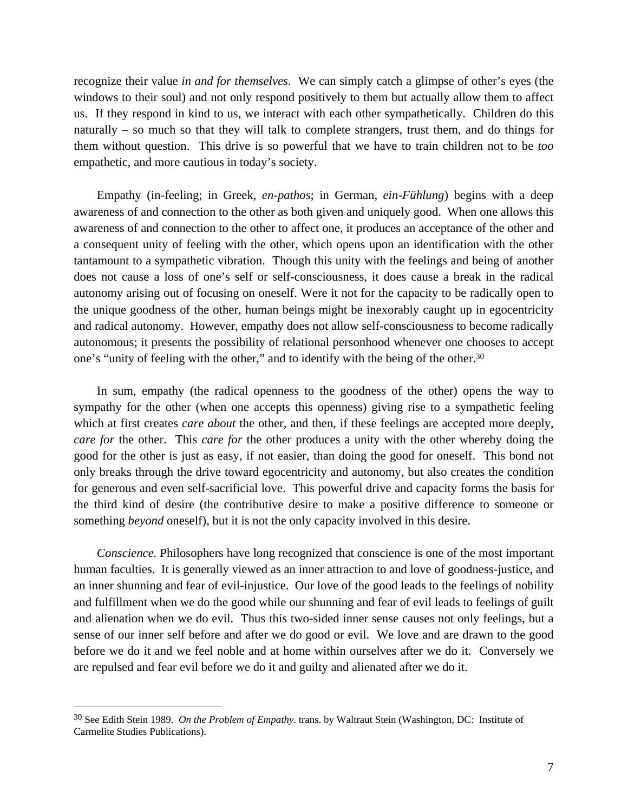recognize their value *in and for themselves*. We can simply catch a glimpse of other's eyes (the windows to their soul) and not only respond positively to them but actually allow them to affect us. If they respond in kind to us, we interact with each other sympathetically. Children do this naturally – so much so that they will talk to complete strangers, trust them, and do things for them without question. This drive is so powerful that we have to train children not to be *too* empathetic, and more cautious in today's society.

Empathy (in-feeling; in Greek, *en-pathos*; in German, *ein-Fühlung*) begins with a deep awareness of and connection to the other as both given and uniquely good. When one allows this awareness of and connection to the other to affect one, it produces an acceptance of the other and a consequent unity of feeling with the other, which opens upon an identification with the other tantamount to a sympathetic vibration. Though this unity with the feelings and being of another does not cause a loss of one's self or self-consciousness, it does cause a break in the radical autonomy arising out of focusing on oneself. Were it not for the capacity to be radically open to the unique goodness of the other, human beings might be inexorably caught up in egocentricity and radical autonomy. However, empathy does not allow self-consciousness to become radically autonomous; it presents the possibility of relational personhood whenever one chooses to accept one's "unity of feeling with the other," and to identify with the being of the other.30

In sum, empathy (the radical openness to the goodness of the other) opens the way to sympathy for the other (when one accepts this openness) giving rise to a sympathetic feeling which at first creates *care about* the other, and then, if these feelings are accepted more deeply, *care for* the other. This *care for* the other produces a unity with the other whereby doing the good for the other is just as easy, if not easier, than doing the good for oneself. This bond not only breaks through the drive toward egocentricity and autonomy, but also creates the condition for generous and even self-sacrificial love. This powerful drive and capacity forms the basis for the third kind of desire (the contributive desire to make a positive difference to someone or something *beyond* oneself), but it is not the only capacity involved in this desire.

*Conscience.* Philosophers have long recognized that conscience is one of the most important human faculties. It is generally viewed as an inner attraction to and love of goodness-justice, and an inner shunning and fear of evil-injustice. Our love of the good leads to the feelings of nobility and fulfillment when we do the good while our shunning and fear of evil leads to feelings of guilt and alienation when we do evil. Thus this two-sided inner sense causes not only feelings, but a sense of our inner self before and after we do good or evil. We love and are drawn to the good before we do it and we feel noble and at home within ourselves after we do it. Conversely we are repulsed and fear evil before we do it and guilty and alienated after we do it.

<sup>30</sup> See Edith Stein 1989. *On the Problem of Empathy*. trans. by Waltraut Stein (Washington, DC: Institute of Carmelite Studies Publications).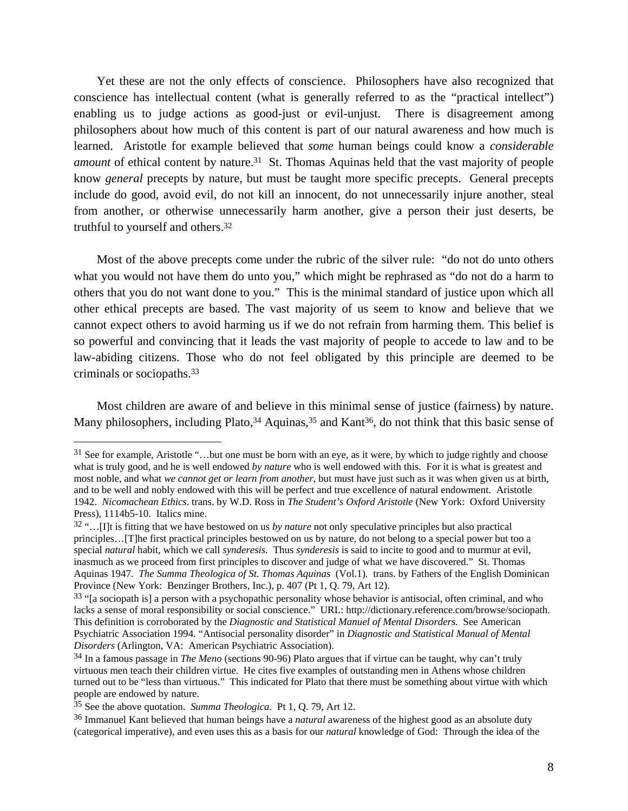Yet these are not the only effects of conscience. Philosophers have also recognized that conscience has intellectual content (what is generally referred to as the "practical intellect") enabling us to judge actions as good-just or evil-unjust. There is disagreement among philosophers about how much of this content is part of our natural awareness and how much is learned. Aristotle for example believed that *some* human beings could know a *considerable amount* of ethical content by nature.<sup>31</sup> St. Thomas Aquinas held that the vast majority of people know *general* precepts by nature, but must be taught more specific precepts. General precepts include do good, avoid evil, do not kill an innocent, do not unnecessarily injure another, steal from another, or otherwise unnecessarily harm another, give a person their just deserts, be truthful to yourself and others.32

Most of the above precepts come under the rubric of the silver rule: "do not do unto others what you would not have them do unto you," which might be rephrased as "do not do a harm to others that you do not want done to you." This is the minimal standard of justice upon which all other ethical precepts are based. The vast majority of us seem to know and believe that we cannot expect others to avoid harming us if we do not refrain from harming them. This belief is so powerful and convincing that it leads the vast majority of people to accede to law and to be law-abiding citizens. Those who do not feel obligated by this principle are deemed to be criminals or sociopaths.33

Most children are aware of and believe in this minimal sense of justice (fairness) by nature. Many philosophers, including Plato,<sup>34</sup> Aquinas,<sup>35</sup> and Kant<sup>36</sup>, do not think that this basic sense of

<sup>31</sup> See for example, Aristotle "…but one must be born with an eye, as it were, by which to judge rightly and choose what is truly good, and he is well endowed *by nature* who is well endowed with this. For it is what is greatest and most noble, and what *we cannot get or learn from another*, but must have just such as it was when given us at birth, and to be well and nobly endowed with this will be perfect and true excellence of natural endowment. Aristotle 1942. *Nicomachean Ethics*. trans. by W.D. Ross in *The Student's Oxford Aristotle* (New York: Oxford University Press), 1114b5-10. Italics mine.

<sup>32 &</sup>quot;…[I]t is fitting that we have bestowed on us *by nature* not only speculative principles but also practical principles…[T]he first practical principles bestowed on us by nature, do not belong to a special power but too a special *natural* habit, which we call *synderesis.* Thus *synderesis* is said to incite to good and to murmur at evil, inasmuch as we proceed from first principles to discover and judge of what we have discovered." St. Thomas Aquinas 1947. *The Summa Theologica of St. Thomas Aquinas* (Vol.1)*.* trans. by Fathers of the English Dominican Province (New York: Benzinger Brothers, Inc.), p. 407 (Pt 1, Q. 79, Art 12).

 $33$  "[a sociopath is] a person with a psychopathic personality whose behavior is antisocial, often criminal, and who lacks a sense of moral responsibility or social conscience." URL: http://dictionary.reference.com/browse/sociopath. This definition is corroborated by the *Diagnostic and Statistical Manuel of Mental Disorders.* See American Psychiatric Association 1994. "Antisocial personality disorder" in *Diagnostic and Statistical Manual of Mental Disorders* (Arlington, VA: American Psychiatric Association).

<sup>34</sup> In a famous passage in *The Meno* (sections 90-96) Plato argues that if virtue can be taught, why can't truly virtuous men teach their children virtue. He cites five examples of outstanding men in Athens whose children turned out to be "less than virtuous." This indicated for Plato that there must be something about virtue with which people are endowed by nature.

<sup>35</sup> See the above quotation. *Summa Theologica.* Pt 1, Q. 79, Art 12.

<sup>36</sup> Immanuel Kant believed that human beings have a *natural* awareness of the highest good as an absolute duty (categorical imperative), and even uses this as a basis for our *natural* knowledge of God: Through the idea of the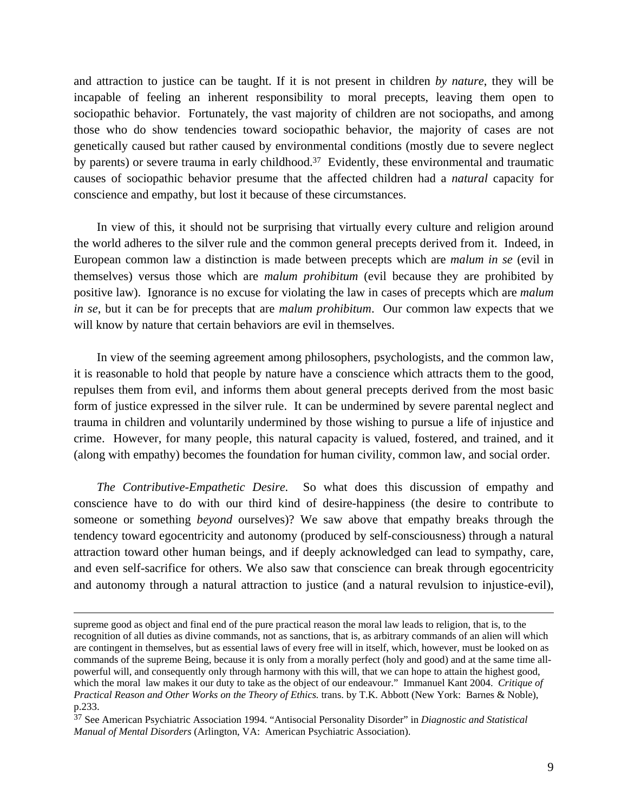and attraction to justice can be taught. If it is not present in children *by nature*, they will be incapable of feeling an inherent responsibility to moral precepts, leaving them open to sociopathic behavior. Fortunately, the vast majority of children are not sociopaths, and among those who do show tendencies toward sociopathic behavior, the majority of cases are not genetically caused but rather caused by environmental conditions (mostly due to severe neglect by parents) or severe trauma in early childhood.<sup>37</sup> Evidently, these environmental and traumatic causes of sociopathic behavior presume that the affected children had a *natural* capacity for conscience and empathy, but lost it because of these circumstances.

In view of this, it should not be surprising that virtually every culture and religion around the world adheres to the silver rule and the common general precepts derived from it. Indeed, in European common law a distinction is made between precepts which are *malum in se* (evil in themselves) versus those which are *malum prohibitum* (evil because they are prohibited by positive law). Ignorance is no excuse for violating the law in cases of precepts which are *malum in se*, but it can be for precepts that are *malum prohibitum*. Our common law expects that we will know by nature that certain behaviors are evil in themselves.

In view of the seeming agreement among philosophers, psychologists, and the common law, it is reasonable to hold that people by nature have a conscience which attracts them to the good, repulses them from evil, and informs them about general precepts derived from the most basic form of justice expressed in the silver rule. It can be undermined by severe parental neglect and trauma in children and voluntarily undermined by those wishing to pursue a life of injustice and crime. However, for many people, this natural capacity is valued, fostered, and trained, and it (along with empathy) becomes the foundation for human civility, common law, and social order.

*The Contributive-Empathetic Desire.* So what does this discussion of empathy and conscience have to do with our third kind of desire-happiness (the desire to contribute to someone or something *beyond* ourselves)? We saw above that empathy breaks through the tendency toward egocentricity and autonomy (produced by self-consciousness) through a natural attraction toward other human beings, and if deeply acknowledged can lead to sympathy, care, and even self-sacrifice for others. We also saw that conscience can break through egocentricity and autonomy through a natural attraction to justice (and a natural revulsion to injustice-evil),

supreme good as object and final end of the pure practical reason the moral law leads to religion, that is, to the recognition of all duties as divine commands, not as sanctions, that is, as arbitrary commands of an alien will which are contingent in themselves, but as essential laws of every free will in itself, which, however, must be looked on as commands of the supreme Being, because it is only from a morally perfect (holy and good) and at the same time allpowerful will, and consequently only through harmony with this will, that we can hope to attain the highest good, which the moral law makes it our duty to take as the object of our endeavour." Immanuel Kant 2004. *Critique of Practical Reason and Other Works on the Theory of Ethics.* trans. by T.K. Abbott (New York: Barnes & Noble), p.233.

<sup>37</sup> See American Psychiatric Association 1994. "Antisocial Personality Disorder" in *Diagnostic and Statistical Manual of Mental Disorders* (Arlington, VA: American Psychiatric Association).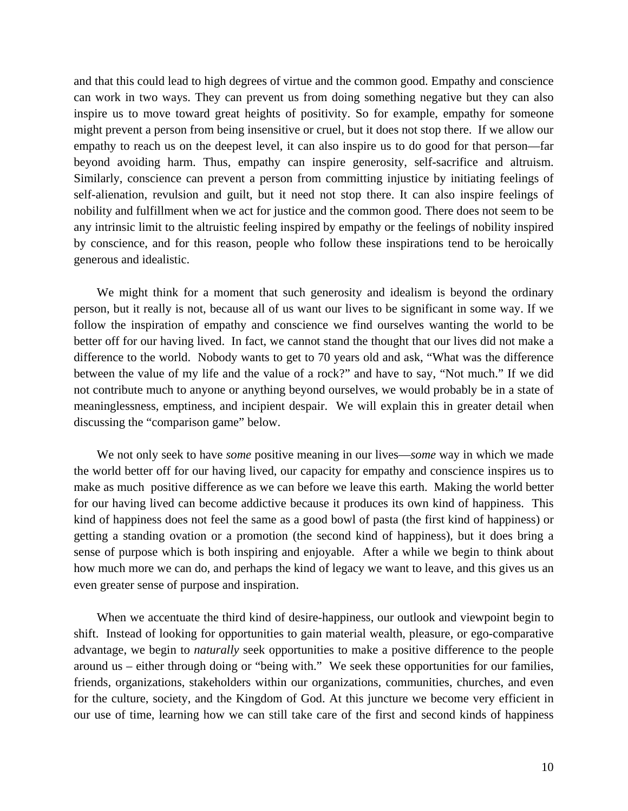and that this could lead to high degrees of virtue and the common good. Empathy and conscience can work in two ways. They can prevent us from doing something negative but they can also inspire us to move toward great heights of positivity. So for example, empathy for someone might prevent a person from being insensitive or cruel, but it does not stop there. If we allow our empathy to reach us on the deepest level, it can also inspire us to do good for that person—far beyond avoiding harm. Thus, empathy can inspire generosity, self-sacrifice and altruism. Similarly, conscience can prevent a person from committing injustice by initiating feelings of self-alienation, revulsion and guilt, but it need not stop there. It can also inspire feelings of nobility and fulfillment when we act for justice and the common good. There does not seem to be any intrinsic limit to the altruistic feeling inspired by empathy or the feelings of nobility inspired by conscience, and for this reason, people who follow these inspirations tend to be heroically generous and idealistic.

We might think for a moment that such generosity and idealism is beyond the ordinary person, but it really is not, because all of us want our lives to be significant in some way. If we follow the inspiration of empathy and conscience we find ourselves wanting the world to be better off for our having lived. In fact, we cannot stand the thought that our lives did not make a difference to the world. Nobody wants to get to 70 years old and ask, "What was the difference between the value of my life and the value of a rock?" and have to say, "Not much." If we did not contribute much to anyone or anything beyond ourselves, we would probably be in a state of meaninglessness, emptiness, and incipient despair. We will explain this in greater detail when discussing the "comparison game" below.

We not only seek to have *some* positive meaning in our lives—*some* way in which we made the world better off for our having lived, our capacity for empathy and conscience inspires us to make as much positive difference as we can before we leave this earth. Making the world better for our having lived can become addictive because it produces its own kind of happiness. This kind of happiness does not feel the same as a good bowl of pasta (the first kind of happiness) or getting a standing ovation or a promotion (the second kind of happiness), but it does bring a sense of purpose which is both inspiring and enjoyable. After a while we begin to think about how much more we can do, and perhaps the kind of legacy we want to leave, and this gives us an even greater sense of purpose and inspiration.

When we accentuate the third kind of desire-happiness, our outlook and viewpoint begin to shift. Instead of looking for opportunities to gain material wealth, pleasure, or ego-comparative advantage, we begin to *naturally* seek opportunities to make a positive difference to the people around us – either through doing or "being with." We seek these opportunities for our families, friends, organizations, stakeholders within our organizations, communities, churches, and even for the culture, society, and the Kingdom of God. At this juncture we become very efficient in our use of time, learning how we can still take care of the first and second kinds of happiness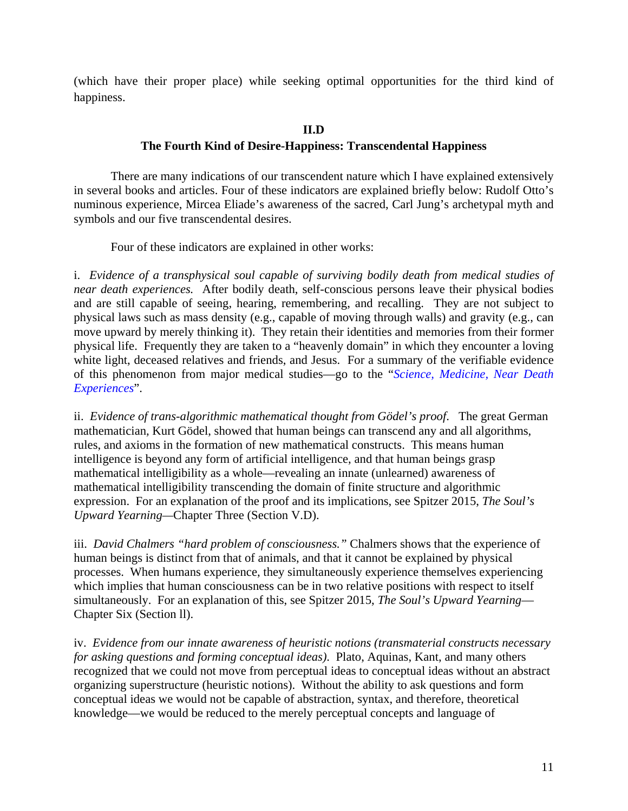(which have their proper place) while seeking optimal opportunities for the third kind of happiness.

## **II.D**

# **The Fourth Kind of Desire-Happiness: Transcendental Happiness**

There are many indications of our transcendent nature which I have explained extensively in several books and articles. Four of these indicators are explained briefly below: Rudolf Otto's numinous experience, Mircea Eliade's awareness of the sacred, Carl Jung's archetypal myth and symbols and our five transcendental desires.

Four of these indicators are explained in other works:

i. *Evidence of a transphysical soul capable of surviving bodily death from medical studies of near death experiences.* After bodily death, self-conscious persons leave their physical bodies and are still capable of seeing, hearing, remembering, and recalling. They are not subject to physical laws such as mass density (e.g., capable of moving through walls) and gravity (e.g., can move upward by merely thinking it). They retain their identities and memories from their former physical life. Frequently they are taken to a "heavenly domain" in which they encounter a loving white light, deceased relatives and friends, and Jesus. For a summary of the verifiable evidence of this phenomenon from major medical studies—go to the "*[Science, Medicine, Near Death](http://www.magiscenter.com/pdf/Science_Medicine_and_NDEs.pdf)  [Experiences](http://www.magiscenter.com/pdf/Science_Medicine_and_NDEs.pdf)*".

ii. *Evidence of trans-algorithmic mathematical thought from Gödel's proof*. The great German mathematician*,* Kurt Gödel, showed that human beings can transcend any and all algorithms, rules, and axioms in the formation of new mathematical constructs. This means human intelligence is beyond any form of artificial intelligence, and that human beings grasp mathematical intelligibility as a whole—revealing an innate (unlearned) awareness of mathematical intelligibility transcending the domain of finite structure and algorithmic expression. For an explanation of the proof and its implications, see Spitzer 2015, *The Soul's Upward Yearning—*Chapter Three (Section V.D).

iii. *David Chalmers "hard problem of consciousness."* Chalmers shows that the experience of human beings is distinct from that of animals, and that it cannot be explained by physical processes. When humans experience, they simultaneously experience themselves experiencing which implies that human consciousness can be in two relative positions with respect to itself simultaneously. For an explanation of this, see Spitzer 2015, *The Soul's Upward Yearning*— Chapter Six (Section ll).

iv. *Evidence from our innate awareness of heuristic notions (transmaterial constructs necessary for asking questions and forming conceptual ideas)*. Plato, Aquinas, Kant, and many others recognized that we could not move from perceptual ideas to conceptual ideas without an abstract organizing superstructure (heuristic notions). Without the ability to ask questions and form conceptual ideas we would not be capable of abstraction, syntax, and therefore, theoretical knowledge—we would be reduced to the merely perceptual concepts and language of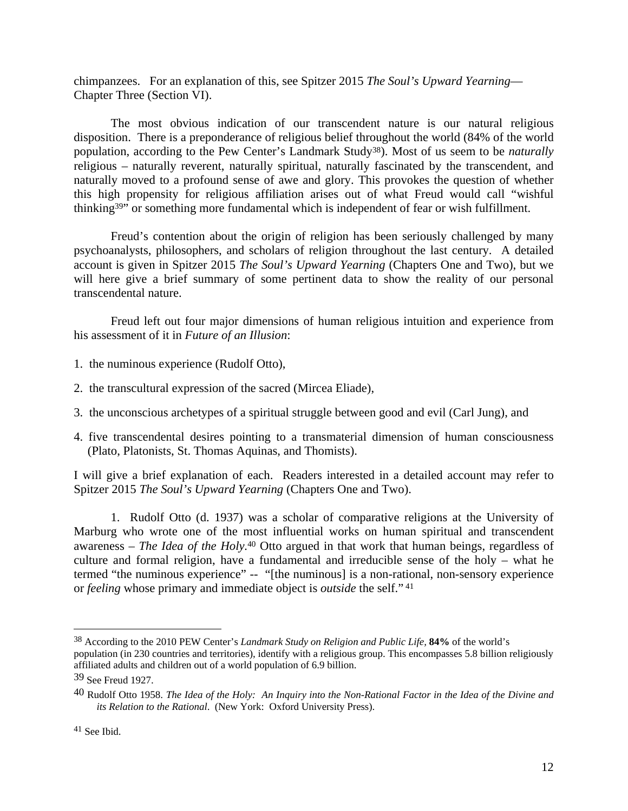chimpanzees. For an explanation of this, see Spitzer 2015 *The Soul's Upward Yearning*— Chapter Three (Section VI).

 The most obvious indication of our transcendent nature is our natural religious disposition. There is a preponderance of religious belief throughout the world (84% of the world population, according to the Pew Center's Landmark Study38). Most of us seem to be *naturally*  religious – naturally reverent, naturally spiritual, naturally fascinated by the transcendent, and naturally moved to a profound sense of awe and glory. This provokes the question of whether this high propensity for religious affiliation arises out of what Freud would call "wishful thinking39" or something more fundamental which is independent of fear or wish fulfillment.

Freud's contention about the origin of religion has been seriously challenged by many psychoanalysts, philosophers, and scholars of religion throughout the last century. A detailed account is given in Spitzer 2015 *The Soul's Upward Yearning* (Chapters One and Two), but we will here give a brief summary of some pertinent data to show the reality of our personal transcendental nature.

Freud left out four major dimensions of human religious intuition and experience from his assessment of it in *Future of an Illusion*:

- 1. the numinous experience (Rudolf Otto),
- 2. the transcultural expression of the sacred (Mircea Eliade),
- 3. the unconscious archetypes of a spiritual struggle between good and evil (Carl Jung), and
- 4. five transcendental desires pointing to a transmaterial dimension of human consciousness (Plato, Platonists, St. Thomas Aquinas, and Thomists).

I will give a brief explanation of each. Readers interested in a detailed account may refer to Spitzer 2015 *The Soul's Upward Yearning* (Chapters One and Two).

1. Rudolf Otto (d. 1937) was a scholar of comparative religions at the University of Marburg who wrote one of the most influential works on human spiritual and transcendent awareness – *The Idea of the Holy.*40 Otto argued in that work that human beings, regardless of culture and formal religion, have a fundamental and irreducible sense of the holy – what he termed "the numinous experience" -- "[the numinous] is a non-rational, non-sensory experience or *feeling* whose primary and immediate object is *outside* the self." 41

<sup>38</sup> According to the 2010 PEW Center's *Landmark Study on Religion and Public Life,* **84%** of the world's population (in 230 countries and territories), identify with a religious group. This encompasses 5.8 billion religiously affiliated adults and children out of a world population of 6.9 billion.

<sup>39</sup> See Freud 1927.

<sup>40</sup> Rudolf Otto 1958. *The Idea of the Holy: An Inquiry into the Non-Rational Factor in the Idea of the Divine and its Relation to the Rational*. (New York: Oxford University Press).

<sup>41</sup> See Ibid.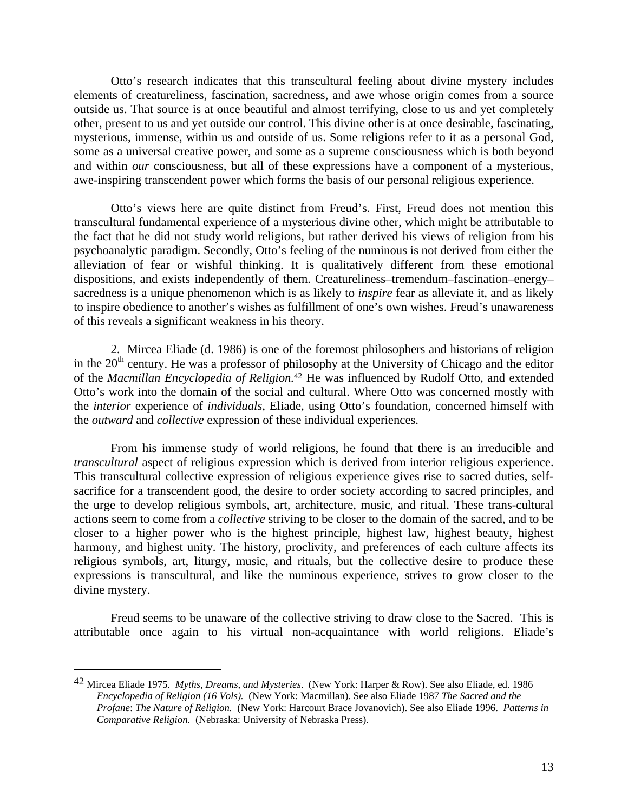Otto's research indicates that this transcultural feeling about divine mystery includes elements of creatureliness, fascination, sacredness, and awe whose origin comes from a source outside us. That source is at once beautiful and almost terrifying, close to us and yet completely other, present to us and yet outside our control. This divine other is at once desirable, fascinating, mysterious, immense, within us and outside of us. Some religions refer to it as a personal God, some as a universal creative power, and some as a supreme consciousness which is both beyond and within *our* consciousness, but all of these expressions have a component of a mysterious, awe-inspiring transcendent power which forms the basis of our personal religious experience.

Otto's views here are quite distinct from Freud's. First, Freud does not mention this transcultural fundamental experience of a mysterious divine other, which might be attributable to the fact that he did not study world religions, but rather derived his views of religion from his psychoanalytic paradigm. Secondly, Otto's feeling of the numinous is not derived from either the alleviation of fear or wishful thinking. It is qualitatively different from these emotional dispositions, and exists independently of them. Creatureliness–tremendum–fascination–energy– sacredness is a unique phenomenon which is as likely to *inspire* fear as alleviate it, and as likely to inspire obedience to another's wishes as fulfillment of one's own wishes. Freud's unawareness of this reveals a significant weakness in his theory.

2. Mircea Eliade (d. 1986) is one of the foremost philosophers and historians of religion in the 20<sup>th</sup> century. He was a professor of philosophy at the University of Chicago and the editor of the *Macmillan Encyclopedia of Religion.*<sup>42</sup> He was influenced by Rudolf Otto, and extended Otto's work into the domain of the social and cultural. Where Otto was concerned mostly with the *interior* experience of *individuals*, Eliade, using Otto's foundation, concerned himself with the *outward* and *collective* expression of these individual experiences.

From his immense study of world religions, he found that there is an irreducible and *transcultural* aspect of religious expression which is derived from interior religious experience. This transcultural collective expression of religious experience gives rise to sacred duties, selfsacrifice for a transcendent good, the desire to order society according to sacred principles, and the urge to develop religious symbols, art, architecture, music, and ritual. These trans-cultural actions seem to come from a *collective* striving to be closer to the domain of the sacred, and to be closer to a higher power who is the highest principle, highest law, highest beauty, highest harmony, and highest unity. The history, proclivity, and preferences of each culture affects its religious symbols, art, liturgy, music, and rituals, but the collective desire to produce these expressions is transcultural, and like the numinous experience, strives to grow closer to the divine mystery.

Freud seems to be unaware of the collective striving to draw close to the Sacred. This is attributable once again to his virtual non-acquaintance with world religions. Eliade's

<sup>42</sup> Mircea Eliade 1975. *Myths, Dreams, and Mysteries*. (New York: Harper & Row). See also Eliade, ed. 1986 *Encyclopedia of Religion (16 Vols).* (New York: Macmillan). See also Eliade 1987 *The Sacred and the Profane*: *The Nature of Religion.* (New York: Harcourt Brace Jovanovich). See also Eliade 1996. *Patterns in Comparative Religion.* (Nebraska: University of Nebraska Press).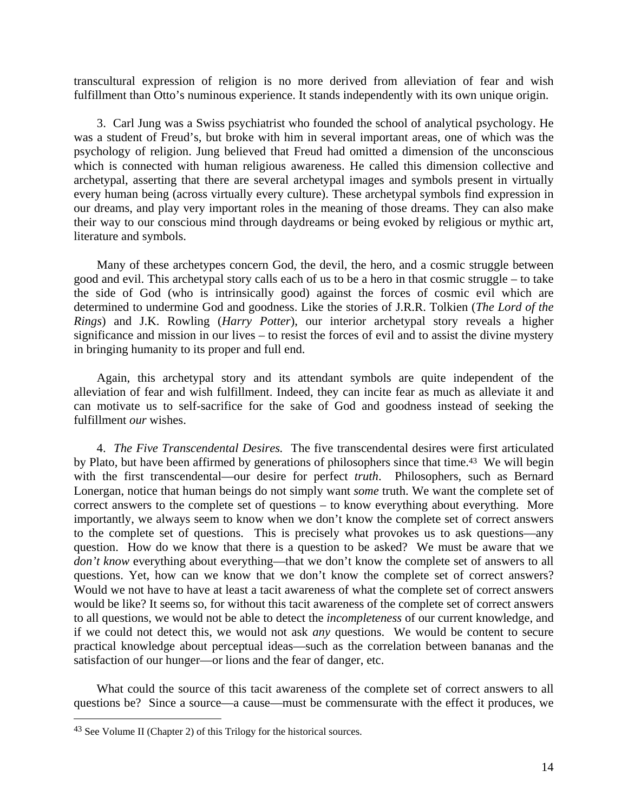transcultural expression of religion is no more derived from alleviation of fear and wish fulfillment than Otto's numinous experience. It stands independently with its own unique origin.

3. Carl Jung was a Swiss psychiatrist who founded the school of analytical psychology. He was a student of Freud's, but broke with him in several important areas, one of which was the psychology of religion. Jung believed that Freud had omitted a dimension of the unconscious which is connected with human religious awareness. He called this dimension collective and archetypal, asserting that there are several archetypal images and symbols present in virtually every human being (across virtually every culture). These archetypal symbols find expression in our dreams, and play very important roles in the meaning of those dreams. They can also make their way to our conscious mind through daydreams or being evoked by religious or mythic art, literature and symbols.

Many of these archetypes concern God, the devil, the hero, and a cosmic struggle between good and evil. This archetypal story calls each of us to be a hero in that cosmic struggle – to take the side of God (who is intrinsically good) against the forces of cosmic evil which are determined to undermine God and goodness. Like the stories of J.R.R. Tolkien (*The Lord of the Rings*) and J.K. Rowling (*Harry Potter*), our interior archetypal story reveals a higher significance and mission in our lives – to resist the forces of evil and to assist the divine mystery in bringing humanity to its proper and full end.

Again, this archetypal story and its attendant symbols are quite independent of the alleviation of fear and wish fulfillment. Indeed, they can incite fear as much as alleviate it and can motivate us to self-sacrifice for the sake of God and goodness instead of seeking the fulfillment *our* wishes.

4. *The Five Transcendental Desires.* The five transcendental desires were first articulated by Plato, but have been affirmed by generations of philosophers since that time.<sup>43</sup> We will begin with the first transcendental—our desire for perfect *truth*. Philosophers, such as Bernard Lonergan, notice that human beings do not simply want *some* truth. We want the complete set of correct answers to the complete set of questions – to know everything about everything. More importantly, we always seem to know when we don't know the complete set of correct answers to the complete set of questions. This is precisely what provokes us to ask questions—any question. How do we know that there is a question to be asked? We must be aware that we *don't know* everything about everything—that we don't know the complete set of answers to all questions. Yet, how can we know that we don't know the complete set of correct answers? Would we not have to have at least a tacit awareness of what the complete set of correct answers would be like? It seems so, for without this tacit awareness of the complete set of correct answers to all questions, we would not be able to detect the *incompleteness* of our current knowledge, and if we could not detect this, we would not ask *any* questions. We would be content to secure practical knowledge about perceptual ideas—such as the correlation between bananas and the satisfaction of our hunger—or lions and the fear of danger, etc.

What could the source of this tacit awareness of the complete set of correct answers to all questions be? Since a source—a cause—must be commensurate with the effect it produces, we

<sup>43</sup> See Volume II (Chapter 2) of this Trilogy for the historical sources.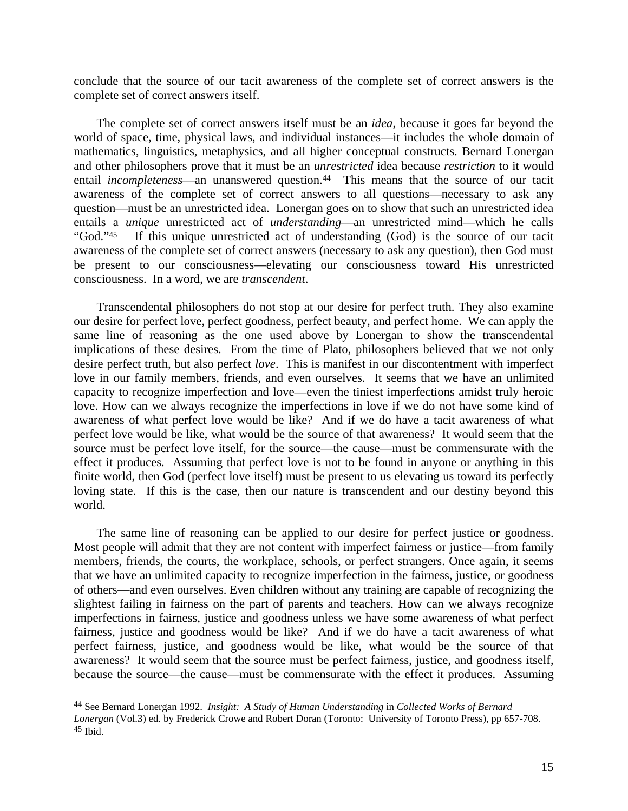conclude that the source of our tacit awareness of the complete set of correct answers is the complete set of correct answers itself.

The complete set of correct answers itself must be an *idea*, because it goes far beyond the world of space, time, physical laws, and individual instances—it includes the whole domain of mathematics, linguistics, metaphysics, and all higher conceptual constructs. Bernard Lonergan and other philosophers prove that it must be an *unrestricted* idea because *restriction* to it would entail *incompleteness*—an unanswered question.<sup>44</sup> This means that the source of our tacit awareness of the complete set of correct answers to all questions—necessary to ask any question—must be an unrestricted idea. Lonergan goes on to show that such an unrestricted idea entails a *unique* unrestricted act of *understanding*—an unrestricted mind—which he calls "God."45 If this unique unrestricted act of understanding (God) is the source of our tacit awareness of the complete set of correct answers (necessary to ask any question), then God must be present to our consciousness—elevating our consciousness toward His unrestricted consciousness. In a word, we are *transcendent*.

Transcendental philosophers do not stop at our desire for perfect truth. They also examine our desire for perfect love, perfect goodness, perfect beauty, and perfect home. We can apply the same line of reasoning as the one used above by Lonergan to show the transcendental implications of these desires. From the time of Plato, philosophers believed that we not only desire perfect truth, but also perfect *love*. This is manifest in our discontentment with imperfect love in our family members, friends, and even ourselves. It seems that we have an unlimited capacity to recognize imperfection and love—even the tiniest imperfections amidst truly heroic love. How can we always recognize the imperfections in love if we do not have some kind of awareness of what perfect love would be like? And if we do have a tacit awareness of what perfect love would be like, what would be the source of that awareness? It would seem that the source must be perfect love itself, for the source—the cause—must be commensurate with the effect it produces. Assuming that perfect love is not to be found in anyone or anything in this finite world, then God (perfect love itself) must be present to us elevating us toward its perfectly loving state. If this is the case, then our nature is transcendent and our destiny beyond this world.

The same line of reasoning can be applied to our desire for perfect justice or goodness. Most people will admit that they are not content with imperfect fairness or justice—from family members, friends, the courts, the workplace, schools, or perfect strangers. Once again, it seems that we have an unlimited capacity to recognize imperfection in the fairness, justice, or goodness of others—and even ourselves. Even children without any training are capable of recognizing the slightest failing in fairness on the part of parents and teachers. How can we always recognize imperfections in fairness, justice and goodness unless we have some awareness of what perfect fairness, justice and goodness would be like? And if we do have a tacit awareness of what perfect fairness, justice, and goodness would be like, what would be the source of that awareness? It would seem that the source must be perfect fairness, justice, and goodness itself, because the source—the cause—must be commensurate with the effect it produces. Assuming

<sup>44</sup> See Bernard Lonergan 1992. *Insight: A Study of Human Understanding* in *Collected Works of Bernard Lonergan* (Vol.3) ed. by Frederick Crowe and Robert Doran (Toronto: University of Toronto Press), pp 657-708. 45 Ibid.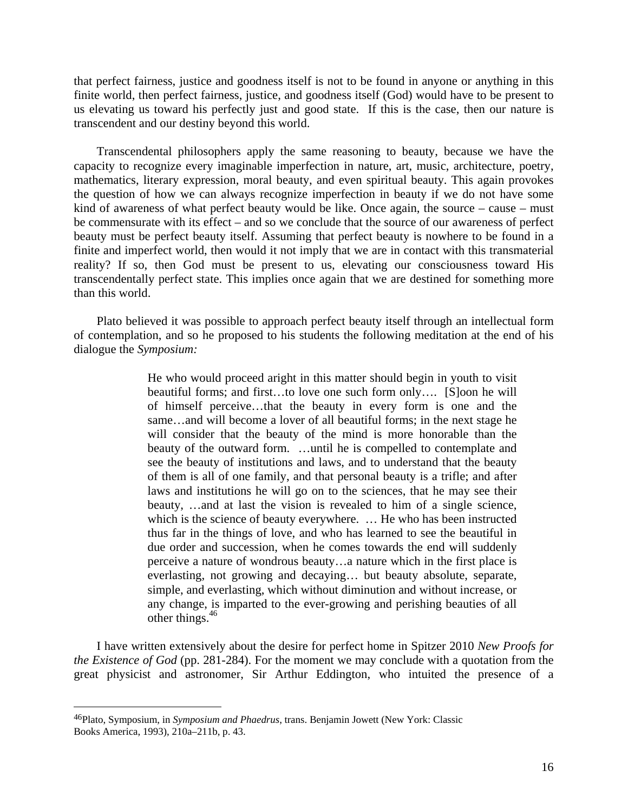that perfect fairness, justice and goodness itself is not to be found in anyone or anything in this finite world, then perfect fairness, justice, and goodness itself (God) would have to be present to us elevating us toward his perfectly just and good state. If this is the case, then our nature is transcendent and our destiny beyond this world.

Transcendental philosophers apply the same reasoning to beauty, because we have the capacity to recognize every imaginable imperfection in nature, art, music, architecture, poetry, mathematics, literary expression, moral beauty, and even spiritual beauty. This again provokes the question of how we can always recognize imperfection in beauty if we do not have some kind of awareness of what perfect beauty would be like. Once again, the source – cause – must be commensurate with its effect – and so we conclude that the source of our awareness of perfect beauty must be perfect beauty itself. Assuming that perfect beauty is nowhere to be found in a finite and imperfect world, then would it not imply that we are in contact with this transmaterial reality? If so, then God must be present to us, elevating our consciousness toward His transcendentally perfect state. This implies once again that we are destined for something more than this world.

Plato believed it was possible to approach perfect beauty itself through an intellectual form of contemplation, and so he proposed to his students the following meditation at the end of his dialogue the *Symposium:* 

> He who would proceed aright in this matter should begin in youth to visit beautiful forms; and first…to love one such form only…. [S]oon he will of himself perceive…that the beauty in every form is one and the same…and will become a lover of all beautiful forms; in the next stage he will consider that the beauty of the mind is more honorable than the beauty of the outward form. …until he is compelled to contemplate and see the beauty of institutions and laws, and to understand that the beauty of them is all of one family, and that personal beauty is a trifle; and after laws and institutions he will go on to the sciences, that he may see their beauty, …and at last the vision is revealed to him of a single science, which is the science of beauty everywhere. … He who has been instructed thus far in the things of love, and who has learned to see the beautiful in due order and succession, when he comes towards the end will suddenly perceive a nature of wondrous beauty…a nature which in the first place is everlasting, not growing and decaying… but beauty absolute, separate, simple, and everlasting, which without diminution and without increase, or any change, is imparted to the ever-growing and perishing beauties of all other things. $46$

I have written extensively about the desire for perfect home in Spitzer 2010 *New Proofs for the Existence of God* (pp. 281-284). For the moment we may conclude with a quotation from the great physicist and astronomer, Sir Arthur Eddington, who intuited the presence of a

<sup>46</sup>Plato, Symposium, in *Symposium and Phaedrus*, trans. Benjamin Jowett (New York: Classic Books America, 1993), 210a–211b, p. 43.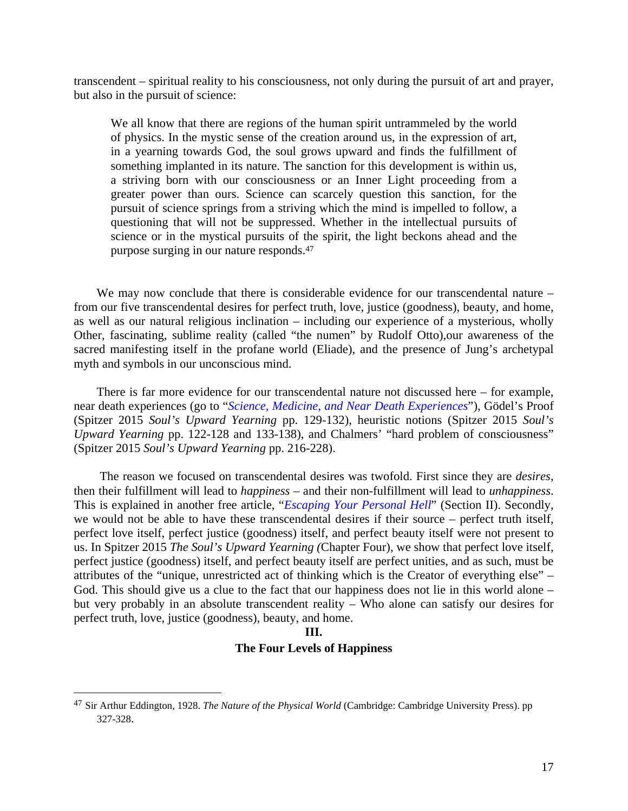transcendent – spiritual reality to his consciousness, not only during the pursuit of art and prayer, but also in the pursuit of science:

We all know that there are regions of the human spirit untrammeled by the world of physics. In the mystic sense of the creation around us, in the expression of art, in a yearning towards God, the soul grows upward and finds the fulfillment of something implanted in its nature. The sanction for this development is within us, a striving born with our consciousness or an Inner Light proceeding from a greater power than ours. Science can scarcely question this sanction, for the pursuit of science springs from a striving which the mind is impelled to follow, a questioning that will not be suppressed. Whether in the intellectual pursuits of science or in the mystical pursuits of the spirit, the light beckons ahead and the purpose surging in our nature responds.47

We may now conclude that there is considerable evidence for our transcendental nature – from our five transcendental desires for perfect truth, love, justice (goodness), beauty, and home, as well as our natural religious inclination – including our experience of a mysterious, wholly Other, fascinating, sublime reality (called "the numen" by Rudolf Otto),our awareness of the sacred manifesting itself in the profane world (Eliade), and the presence of Jung's archetypal myth and symbols in our unconscious mind.

There is far more evidence for our transcendental nature not discussed here – for example, near death experiences (go to "*Science, [Medicine, and Near Death Experiences](http://www.magiscenter.com/pdf/Science_Medicine_and_NDEs.pdf)*"), Gödel's Proof (Spitzer 2015 *Soul's Upward Yearning* pp. 129-132), heuristic notions (Spitzer 2015 *Soul's Upward Yearning* pp. 122-128 and 133-138), and Chalmers' "hard problem of consciousness" (Spitzer 2015 *Soul's Upward Yearning* pp. 216-228).

 The reason we focused on transcendental desires was twofold. First since they are *desires*, then their fulfillment will lead to *happiness* – and their non-fulfillment will lead to *unhappiness*. This is explained in another free article, "*Escaping Your Personal Hell*" (Section II). Secondly, we would not be able to have these transcendental desires if their source – perfect truth itself, perfect love itself, perfect justice (goodness) itself, and perfect beauty itself were not present to us. In Spitzer 2015 *The Soul's Upward Yearning (*Chapter Four), we show that perfect love itself, perfect justice (goodness) itself, and perfect beauty itself are perfect unities, and as such, must be attributes of the "unique, unrestricted act of thinking which is the Creator of everything else" – God. This should give us a clue to the fact that our happiness does not lie in this world alone – but very probably in an absolute transcendent reality – Who alone can satisfy our desires for perfect truth, love, justice (goodness), beauty, and home.

#### **III.**

## **The Four Levels of Happiness**

<sup>47</sup> Sir Arthur Eddington, 1928. *The Nature of the Physical World* (Cambridge: Cambridge University Press). pp 327-328.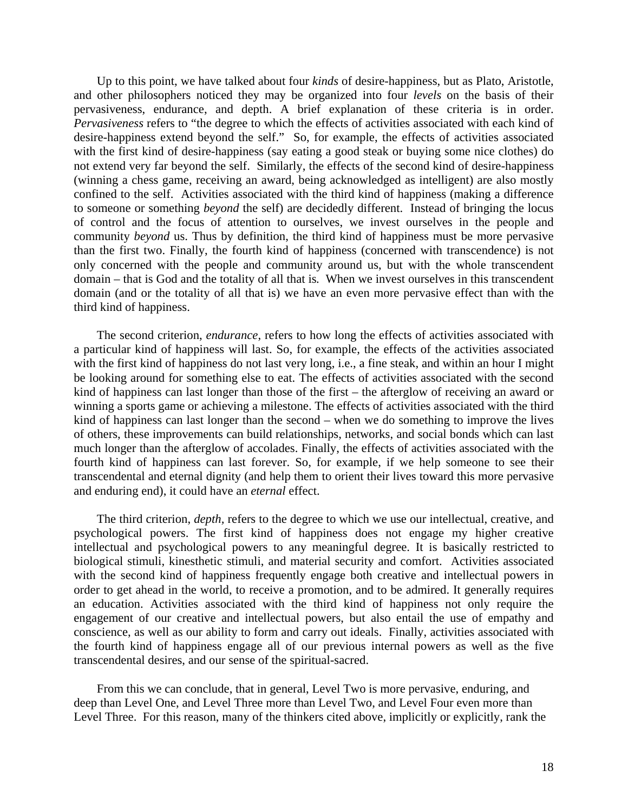Up to this point, we have talked about four *kinds* of desire-happiness, but as Plato, Aristotle, and other philosophers noticed they may be organized into four *levels* on the basis of their pervasiveness, endurance, and depth. A brief explanation of these criteria is in order. *Pervasiveness* refers to "the degree to which the effects of activities associated with each kind of desire-happiness extend beyond the self." So, for example, the effects of activities associated with the first kind of desire-happiness (say eating a good steak or buying some nice clothes) do not extend very far beyond the self. Similarly, the effects of the second kind of desire-happiness (winning a chess game, receiving an award, being acknowledged as intelligent) are also mostly confined to the self. Activities associated with the third kind of happiness (making a difference to someone or something *beyond* the self) are decidedly different. Instead of bringing the locus of control and the focus of attention to ourselves, we invest ourselves in the people and community *beyond* us. Thus by definition, the third kind of happiness must be more pervasive than the first two. Finally, the fourth kind of happiness (concerned with transcendence) is not only concerned with the people and community around us, but with the whole transcendent domain – that is God and the totality of all that is. When we invest ourselves in this transcendent domain (and or the totality of all that is) we have an even more pervasive effect than with the third kind of happiness.

The second criterion, *endurance*, refers to how long the effects of activities associated with a particular kind of happiness will last. So, for example, the effects of the activities associated with the first kind of happiness do not last very long, i.e., a fine steak, and within an hour I might be looking around for something else to eat. The effects of activities associated with the second kind of happiness can last longer than those of the first – the afterglow of receiving an award or winning a sports game or achieving a milestone. The effects of activities associated with the third kind of happiness can last longer than the second – when we do something to improve the lives of others, these improvements can build relationships, networks, and social bonds which can last much longer than the afterglow of accolades. Finally, the effects of activities associated with the fourth kind of happiness can last forever. So, for example, if we help someone to see their transcendental and eternal dignity (and help them to orient their lives toward this more pervasive and enduring end), it could have an *eternal* effect.

The third criterion, *depth,* refers to the degree to which we use our intellectual, creative, and psychological powers. The first kind of happiness does not engage my higher creative intellectual and psychological powers to any meaningful degree. It is basically restricted to biological stimuli, kinesthetic stimuli, and material security and comfort. Activities associated with the second kind of happiness frequently engage both creative and intellectual powers in order to get ahead in the world, to receive a promotion, and to be admired. It generally requires an education. Activities associated with the third kind of happiness not only require the engagement of our creative and intellectual powers, but also entail the use of empathy and conscience, as well as our ability to form and carry out ideals. Finally, activities associated with the fourth kind of happiness engage all of our previous internal powers as well as the five transcendental desires, and our sense of the spiritual-sacred.

From this we can conclude, that in general, Level Two is more pervasive, enduring, and deep than Level One, and Level Three more than Level Two, and Level Four even more than Level Three. For this reason, many of the thinkers cited above, implicitly or explicitly, rank the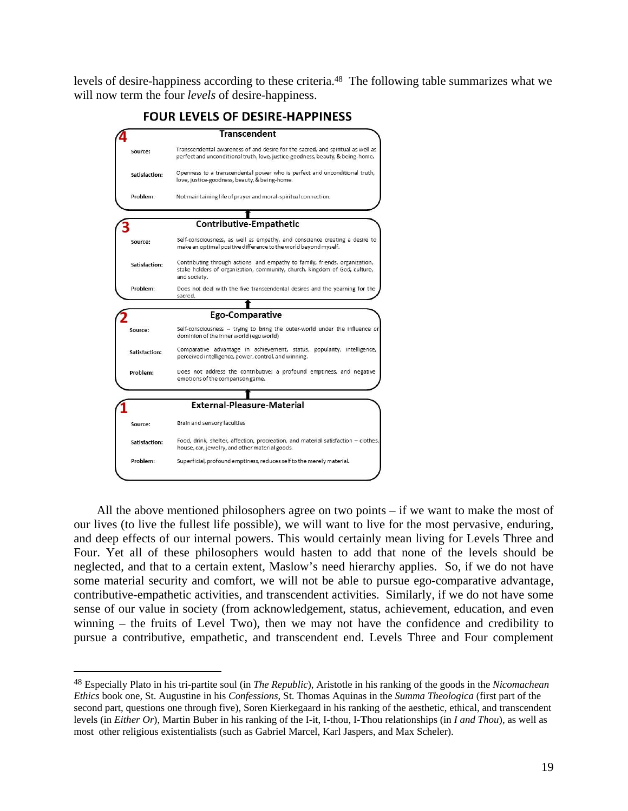levels of desire-happiness according to these criteria.48 The following table summarizes what we will now term the four *levels* of desire-happiness.



All the above mentioned philosophers agree on two points – if we want to make the most of our lives (to live the fullest life possible), we will want to live for the most pervasive, enduring, and deep effects of our internal powers. This would certainly mean living for Levels Three and Four. Yet all of these philosophers would hasten to add that none of the levels should be neglected, and that to a certain extent, Maslow's need hierarchy applies. So, if we do not have some material security and comfort, we will not be able to pursue ego-comparative advantage, contributive-empathetic activities, and transcendent activities. Similarly, if we do not have some sense of our value in society (from acknowledgement, status, achievement, education, and even winning – the fruits of Level Two), then we may not have the confidence and credibility to pursue a contributive, empathetic, and transcendent end. Levels Three and Four complement

<sup>48</sup> Especially Plato in his tri-partite soul (in *The Republic*), Aristotle in his ranking of the goods in the *Nicomachean Ethics* book one, St. Augustine in his *Confessions*, St. Thomas Aquinas in the *Summa Theologica* (first part of the second part, questions one through five), Soren Kierkegaard in his ranking of the aesthetic, ethical, and transcendent levels (in *Either Or*), Martin Buber in his ranking of the I-it, I-thou, I-**T**hou relationships (in *I and Thou*), as well as most other religious existentialists (such as Gabriel Marcel, Karl Jaspers, and Max Scheler).